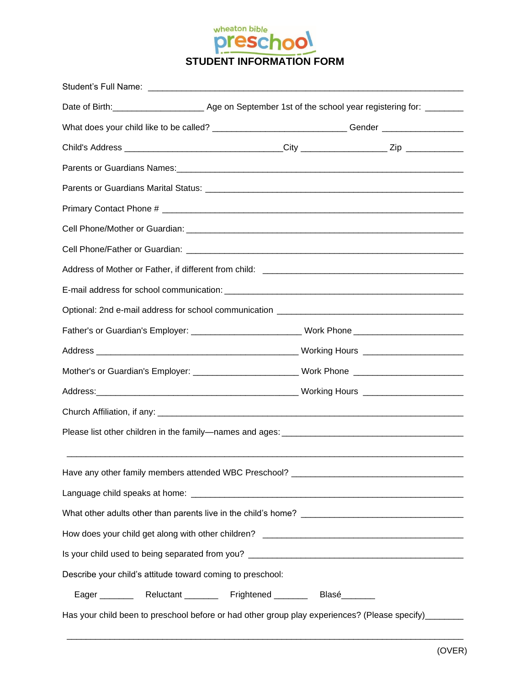

| What does your child like to be called? _______________________________Gender ______________________ |  |  |
|------------------------------------------------------------------------------------------------------|--|--|
|                                                                                                      |  |  |
|                                                                                                      |  |  |
|                                                                                                      |  |  |
|                                                                                                      |  |  |
|                                                                                                      |  |  |
|                                                                                                      |  |  |
|                                                                                                      |  |  |
|                                                                                                      |  |  |
|                                                                                                      |  |  |
| Father's or Guardian's Employer: __________________________Work Phone ______________________________ |  |  |
|                                                                                                      |  |  |
| Mother's or Guardian's Employer: ____________________________Work Phone ___________________________  |  |  |
|                                                                                                      |  |  |
|                                                                                                      |  |  |
|                                                                                                      |  |  |
|                                                                                                      |  |  |
| Have any other family members attended WBC Preschool? __________________________                     |  |  |
|                                                                                                      |  |  |
|                                                                                                      |  |  |
|                                                                                                      |  |  |
|                                                                                                      |  |  |
| Describe your child's attitude toward coming to preschool:                                           |  |  |
| Eager ___________ Reluctant __________ Frightened _________ Blasé_________                           |  |  |
| Has your child been to preschool before or had other group play experiences? (Please specify)_______ |  |  |
|                                                                                                      |  |  |